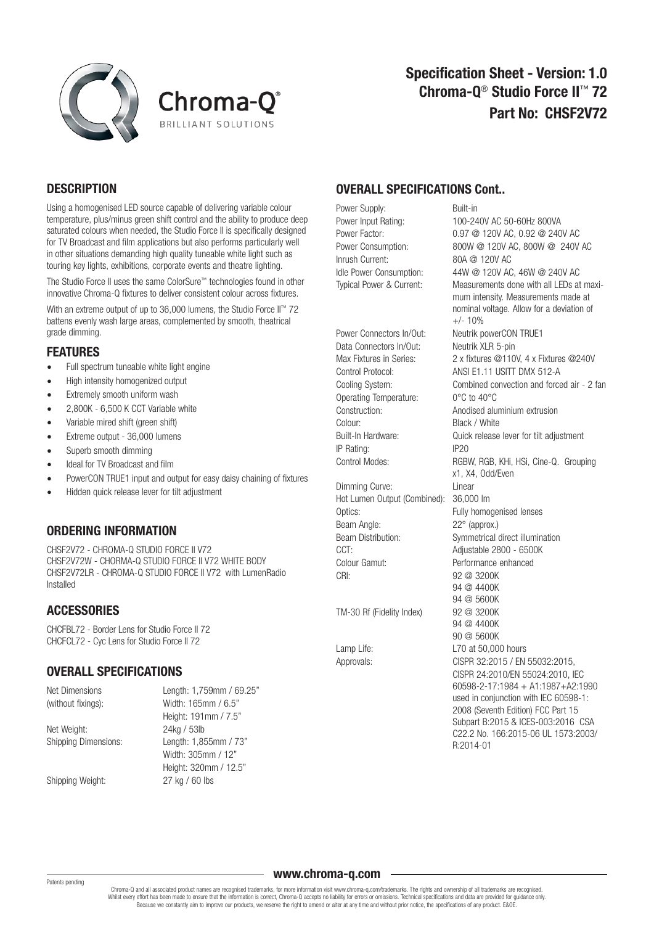



# **DESCRIPTION**

Using a homogenised LED source capable of delivering variable colour temperature, plus/minus green shift control and the ability to produce deep saturated colours when needed, the Studio Force II is specifically designed for TV Broadcast and film applications but also performs particularly well in other situations demanding high quality tuneable white light such as touring key lights, exhibitions, corporate events and theatre lighting.

The Studio Force II uses the same ColorSure™ technologies found in other innovative Chroma-Q fixtures to deliver consistent colour across fixtures.

With an extreme output of up to 36,000 lumens, the Studio Force II™ 72 battens evenly wash large areas, complemented by smooth, theatrical grade dimming.

#### FEATURES

- Full spectrum tuneable white light engine
- High intensity homogenized output
- **Extremely smooth uniform wash**
- 2,800K 6,500 K CCT Variable white
- Variable mired shift (green shift)
- Extreme output 36,000 lumens
- Superb smooth dimming
- Ideal for TV Broadcast and film
- PowerCON TRUE1 input and output for easy daisy chaining of fixtures
- Hidden quick release lever for tilt adjustment

## ORDERING INFORMATION

CHSF2V72 - CHROMA-Q STUDIO FORCE II V72 CHSF2V72W - CHORMA-Q STUDIO FORCE II V72 WHITE BODY CHSF2V72LR - CHROMA-Q STUDIO FORCE II V72 with LumenRadio Installed

# **ACCESSORIES**

CHCFBL72 - Border Lens for Studio Force II 72 CHCFCL72 - Cyc Lens for Studio Force II 72

## OVERALL SPECIFICATIONS

| Net Dimensions              | Length: 1,759mm / 69.25" |
|-----------------------------|--------------------------|
| (without fixings):          | Width: 165mm / 6.5"      |
|                             | Height: 191mm / 7.5"     |
| Net Weight:                 | 24kg / 53lb              |
| <b>Shipping Dimensions:</b> | Length: 1,855mm / 73"    |
|                             | Width: 305mm / 12"       |
|                             | Height: 320mm / 12.5"    |
| Shipping Weight:            | 27 kg / 60 lbs           |

## OVERALL SPECIFICATIONS Cont..

Power Supply: Built-in Power Input Rating: 100-240V AC 50-60Hz 800VA Power Factor: 0.97 @ 120V AC, 0.92 @ 240V AC Power Consumption: 800W @ 120V AC, 800W @ 240V AC Inrush Current: 80A @ 120V AC

Data Connectors In/Out: Neutrik XLR 5-pin Operating Temperature: 0°C to 40°C Colour: Black / White IP Rating: IP20

Dimming Curve: Linear Hot Lumen Output (Combined): 36,000 lm Optics: Fully homogenised lenses Beam Angle: 22° (approx.) CCT: Adjustable 2800 - 6500K Colour Gamut: Performance enhanced CRI· 92 @ 3200K

TM-30 Rf (Fidelity Index) 92 @ 3200K

Idle Power Consumption: 44W @ 120V AC, 46W @ 240V AC Typical Power & Current: Measurements done with all LEDs at maxi mum intensity. Measurements made at nominal voltage. Allow for a deviation of  $+/- 10%$ Power Connectors In/Out: Neutrik powerCON TRUE1 Max Fixtures in Series: 2 x fixtures @110V, 4 x Fixtures @240V Control Protocol: ANSI E1.11 USITT DMX 512-A Cooling System: Combined convection and forced air - 2 fan Construction: Anodised aluminium extrusion Built-In Hardware: Quick release lever for tilt adjustment Control Modes: RGBW, RGB, KHi, HSi, Cine-Q. Grouping x1, X4, Odd/Even Beam Distribution: Symmetrical direct illumination 94 @ 4400K 94 @ 5600K 94 @ 4400K 90 @ 5600K Lamp Life: L70 at 50,000 hours Approvals: CISPR 32:2015 / EN 55032:2015, CISPR 24:2010/EN 55024:2010, IEC 60598-2-17:1984 + A1:1987+A2:1990 used in conjunction with IEC 60598-1: 2008 (Seventh Edition) FCC Part 15 Subpart B:2015 & ICES-003:2016 CSA C22.2 No. 166:2015-06 UL 1573:2003/ R:2014-01

#### Patents pending

www.chroma-q.com

Chroma-Q and all associated product names are recognised trademarks, for more information visit www.chroma-g.com/trademarks. The rights and ownership of all trademarks are recognised. Whilst every effort has been made to ensure that the information is correct, Chroma-Q accepts no liability for errors or omissions. Technical specifications and data are provided for guidance only. Because we constantly aim to improve our products, we reserve the right to amend or alter at any time and without prior notice, the specifications of any product. E&OE